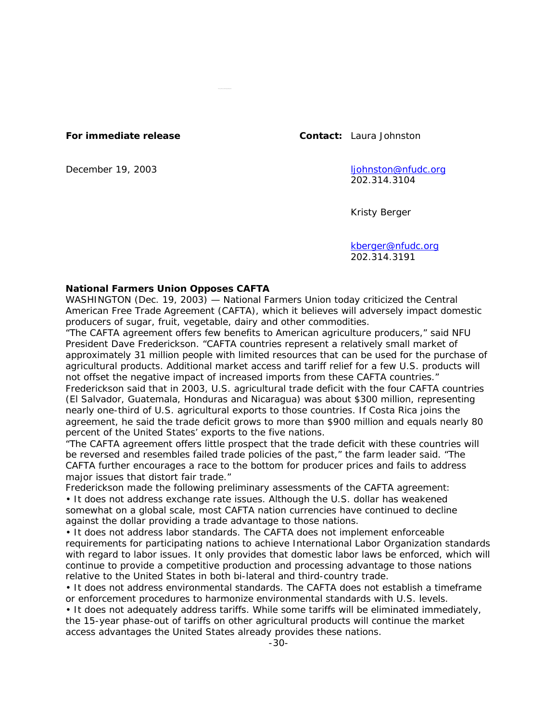**For immediate release Contact:** Laura Johnston

December 19, 2003 ljohnston@nfudc.org 202.314.3104

Kristy Berger

kberger@nfudc.org 202.314.3191

## **National Farmers Union Opposes CAFTA**

WASHINGTON (Dec. 19, 2003) — National Farmers Union today criticized the Central American Free Trade Agreement (CAFTA), which it believes will adversely impact domestic producers of sugar, fruit, vegetable, dairy and other commodities.

"The CAFTA agreement offers few benefits to American agriculture producers," said NFU President Dave Frederickson. "CAFTA countries represent a relatively small market of approximately 31 million people with limited resources that can be used for the purchase of agricultural products. Additional market access and tariff relief for a few U.S. products will not offset the negative impact of increased imports from these CAFTA countries."

Frederickson said that in 2003, U.S. agricultural trade deficit with the four CAFTA countries (El Salvador, Guatemala, Honduras and Nicaragua) was about \$300 million, representing nearly one-third of U.S. agricultural exports to those countries. If Costa Rica joins the agreement, he said the trade deficit grows to more than \$900 million and equals nearly 80 percent of the United States' exports to the five nations.

"The CAFTA agreement offers little prospect that the trade deficit with these countries will be reversed and resembles failed trade policies of the past," the farm leader said. "The CAFTA further encourages a race to the bottom for producer prices and fails to address major issues that distort fair trade."

Frederickson made the following preliminary assessments of the CAFTA agreement:

• It does not address exchange rate issues. Although the U.S. dollar has weakened somewhat on a global scale, most CAFTA nation currencies have continued to decline against the dollar providing a trade advantage to those nations.

• It does not address labor standards. The CAFTA does not implement enforceable requirements for participating nations to achieve International Labor Organization standards with regard to labor issues. It only provides that domestic labor laws be enforced, which will continue to provide a competitive production and processing advantage to those nations relative to the United States in both bi-lateral and third-country trade.

• It does not address environmental standards. The CAFTA does not establish a timeframe or enforcement procedures to harmonize environmental standards with U.S. levels.

• It does not adequately address tariffs. While some tariffs will be eliminated immediately, the 15-year phase-out of tariffs on other agricultural products will continue the market access advantages the United States already provides these nations.